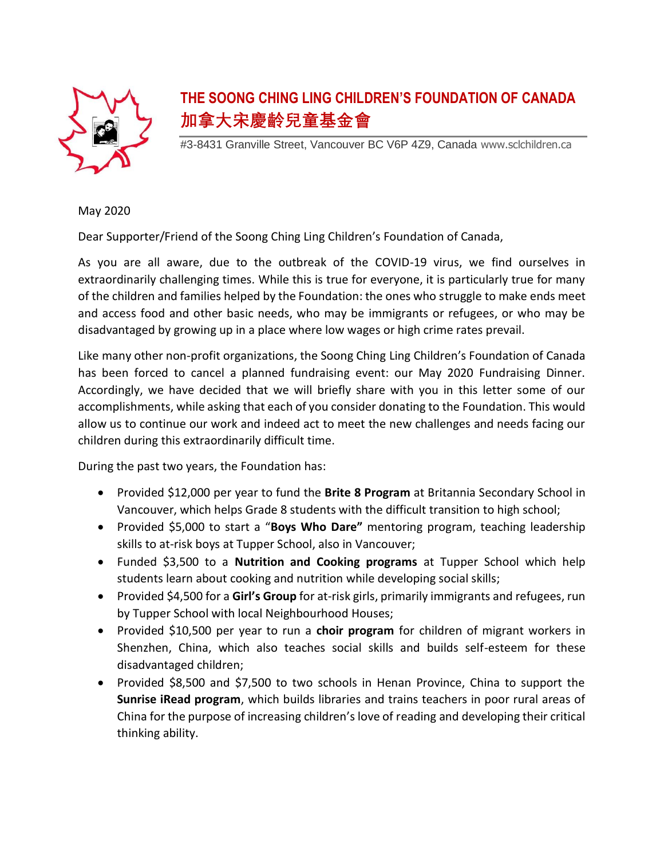

## **THE SOONG CHING LING CHILDREN'S FOUNDATION OF CANADA 加拿大宋慶齡兒童基金會**

#3-8431 Granville Street, Vancouver BC V6P 4Z9, Canada www.sclchildren.ca

May 2020

Dear Supporter/Friend of the Soong Ching Ling Children's Foundation of Canada,

As you are all aware, due to the outbreak of the COVID-19 virus, we find ourselves in extraordinarily challenging times. While this is true for everyone, it is particularly true for many of the children and families helped by the Foundation: the ones who struggle to make ends meet and access food and other basic needs, who may be immigrants or refugees, or who may be disadvantaged by growing up in a place where low wages or high crime rates prevail.

Like many other non-profit organizations, the Soong Ching Ling Children's Foundation of Canada has been forced to cancel a planned fundraising event: our May 2020 Fundraising Dinner. Accordingly, we have decided that we will briefly share with you in this letter some of our accomplishments, while asking that each of you consider donating to the Foundation. This would allow us to continue our work and indeed act to meet the new challenges and needs facing our children during this extraordinarily difficult time.

During the past two years, the Foundation has:

- Provided \$12,000 per year to fund the **Brite 8 Program** at Britannia Secondary School in Vancouver, which helps Grade 8 students with the difficult transition to high school;
- Provided \$5,000 to start a "**Boys Who Dare"** mentoring program, teaching leadership skills to at-risk boys at Tupper School, also in Vancouver;
- Funded \$3,500 to a **Nutrition and Cooking programs** at Tupper School which help students learn about cooking and nutrition while developing social skills;
- Provided \$4,500 for a **Girl's Group** for at-risk girls, primarily immigrants and refugees, run by Tupper School with local Neighbourhood Houses;
- Provided \$10,500 per year to run a **choir program** for children of migrant workers in Shenzhen, China, which also teaches social skills and builds self-esteem for these disadvantaged children;
- Provided \$8,500 and \$7,500 to two schools in Henan Province, China to support the **Sunrise iRead program**, which builds libraries and trains teachers in poor rural areas of China for the purpose of increasing children's love of reading and developing their critical thinking ability.